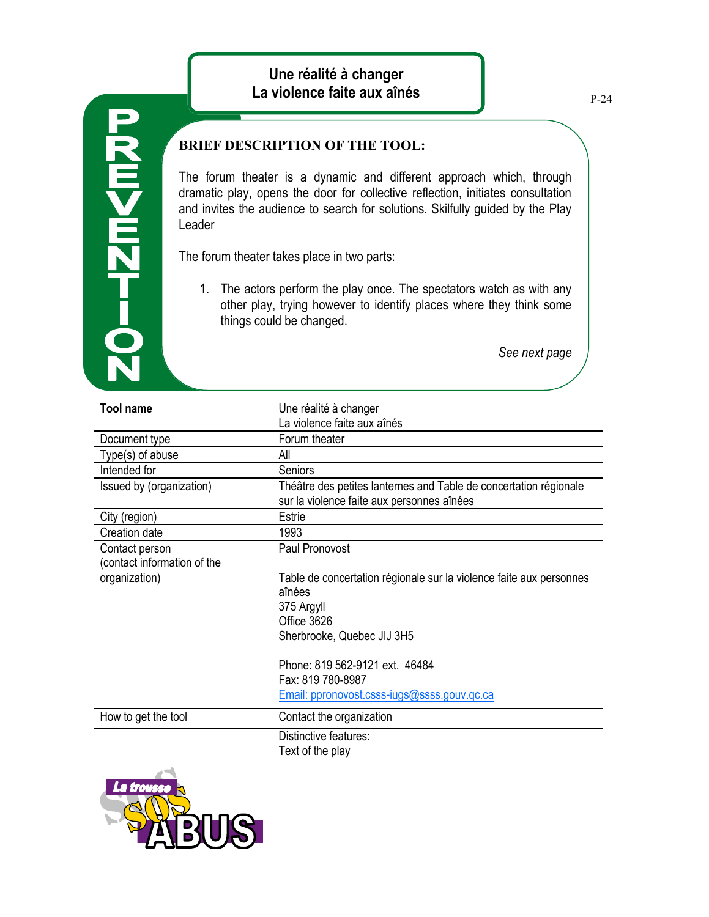The forum theater is a dynamic and different approach which, through dramatic play, opens the door for collective reflection, initiates consultation and invites the audience to search for solutions. Skilfully guided by the Play Leader

The forum theater takes place in two parts:

**0-72m<m2** 

1. The actors perform the play once. The spectators watch as with any other play, trying however to identify places where they think some things could be changed.

*See next page*

| <b>Tool name</b>                              | Une réalité à changer                                                                                           |
|-----------------------------------------------|-----------------------------------------------------------------------------------------------------------------|
|                                               | La violence faite aux aînés                                                                                     |
| Document type                                 | Forum theater                                                                                                   |
| Type(s) of abuse                              | All                                                                                                             |
| Intended for                                  | Seniors                                                                                                         |
| Issued by (organization)                      | Théâtre des petites lanternes and Table de concertation régionale<br>sur la violence faite aux personnes aînées |
| City (region)                                 | <b>Estrie</b>                                                                                                   |
| Creation date                                 | 1993                                                                                                            |
| Contact person<br>(contact information of the | Paul Pronovost                                                                                                  |
| organization)                                 | Table de concertation régionale sur la violence faite aux personnes<br>aînées                                   |
|                                               | 375 Argyll                                                                                                      |
|                                               | Office 3626                                                                                                     |
|                                               | Sherbrooke, Quebec JIJ 3H5                                                                                      |
|                                               | Phone: 819 562-9121 ext. 46484<br>Fax: 819 780-8987                                                             |
|                                               | Email: ppronovost.csss-jugs@ssss.gouv.gc.ca                                                                     |
| How to get the tool                           | Contact the organization                                                                                        |
|                                               | Distinctive features:                                                                                           |
|                                               | Text of the play                                                                                                |